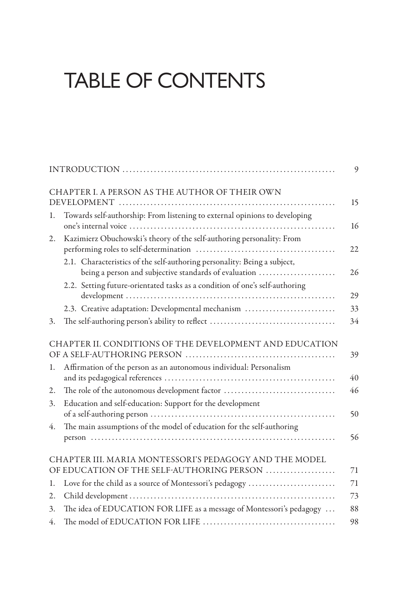## TABLE OF CONTENTS

|    | CHAPTER I. A PERSON AS THE AUTHOR OF THEIR OWN<br>15                                                                                    |
|----|-----------------------------------------------------------------------------------------------------------------------------------------|
| 1. | Towards self-authorship: From listening to external opinions to developing<br>16                                                        |
| 2. | Kazimierz Obuchowski's theory of the self-authoring personality: From<br>22                                                             |
|    | 2.1. Characteristics of the self-authoring personality: Being a subject,<br>being a person and subjective standards of evaluation<br>26 |
|    | 2.2. Setting future-orientated tasks as a condition of one's self-authoring<br>29                                                       |
|    | 2.3. Creative adaptation: Developmental mechanism<br>33                                                                                 |
| 3. | 34                                                                                                                                      |
|    | CHAPTER II. CONDITIONS OF THE DEVELOPMENT AND EDUCATION<br>39                                                                           |
| 1. | Affirmation of the person as an autonomous individual: Personalism<br>40                                                                |
| 2. | The role of the autonomous development factor<br>46                                                                                     |
| 3. | Education and self-education: Support for the development<br>50                                                                         |
| 4. | The main assumptions of the model of education for the self-authoring<br>56                                                             |
|    | CHAPTER III. MARIA MONTESSORI'S PEDAGOGY AND THE MODEL<br>OF EDUCATION OF THE SELF-AUTHORING PERSON<br>71                               |
| 1. | Love for the child as a source of Montessori's pedagogy<br>71                                                                           |
| 2. | 73                                                                                                                                      |
| 3. | The idea of EDUCATION FOR LIFE as a message of Montessori's pedagogy<br>88                                                              |
| 4. | 98                                                                                                                                      |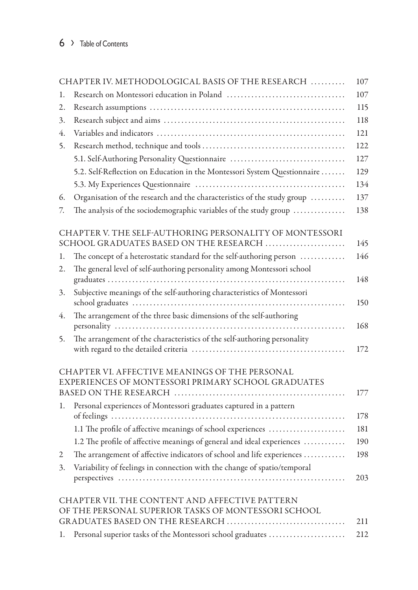| CHAPTER IV. METHODOLOGICAL BASIS OF THE RESEARCH |                                                                          | 107 |
|--------------------------------------------------|--------------------------------------------------------------------------|-----|
| 1.                                               |                                                                          | 107 |
| 2.                                               |                                                                          | 115 |
| 3.                                               |                                                                          | 118 |
| 4.                                               |                                                                          | 121 |
| 5.                                               |                                                                          | 122 |
|                                                  | 5.1. Self-Authoring Personality Questionnaire                            | 127 |
|                                                  | 5.2. Self-Reflection on Education in the Montessori System Questionnaire | 129 |
|                                                  |                                                                          | 134 |
| 6.                                               | Organisation of the research and the characteristics of the study group  | 137 |
| 7.                                               | The analysis of the sociodemographic variables of the study group        | 138 |
|                                                  | CHAPTER V. THE SELF-AUTHORING PERSONALITY OF MONTESSORI                  |     |
|                                                  | SCHOOL GRADUATES BASED ON THE RESEARCH                                   | 145 |
| 1.                                               | The concept of a heterostatic standard for the self-authoring person     | 146 |
| 2.                                               | The general level of self-authoring personality among Montessori school  | 148 |
| 3.                                               | Subjective meanings of the self-authoring characteristics of Montessori  |     |
|                                                  |                                                                          | 150 |
| 4.                                               | The arrangement of the three basic dimensions of the self-authoring      |     |
|                                                  |                                                                          | 168 |
| 5.                                               | The arrangement of the characteristics of the self-authoring personality |     |
|                                                  |                                                                          | 172 |
|                                                  | CHAPTER VI. AFFECTIVE MEANINGS OF THE PERSONAL                           |     |
|                                                  | EXPERIENCES OF MONTESSORI PRIMARY SCHOOL GRADUATES                       |     |
|                                                  |                                                                          | 177 |
| 1.                                               | Personal experiences of Montessori graduates captured in a pattern       | 178 |
|                                                  | 1.1 The profile of affective meanings of school experiences              | 181 |
|                                                  | 1.2 The profile of affective meanings of general and ideal experiences   | 190 |
| 2                                                | The arrangement of affective indicators of school and life experiences   | 198 |
| 3.                                               | Variability of feelings in connection with the change of spatio/temporal |     |
|                                                  |                                                                          | 203 |
|                                                  | CHAPTER VII. THE CONTENT AND AFFECTIVE PATTERN                           |     |
|                                                  | OF THE PERSONAL SUPERIOR TASKS OF MONTESSORI SCHOOL                      |     |
|                                                  |                                                                          | 211 |
| 1.                                               | Personal superior tasks of the Montessori school graduates               | 212 |